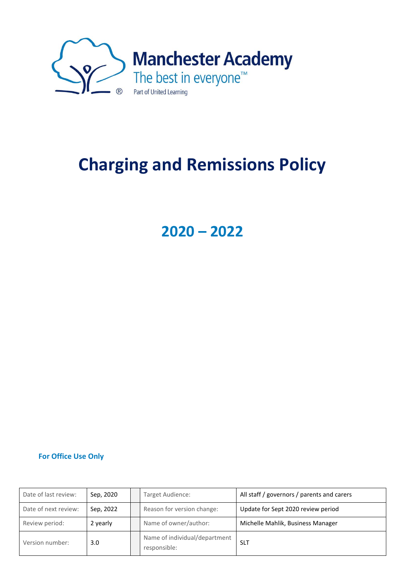

# **Charging and Remissions Policy**

**2020 – 2022**

### **For Office Use Only**

| Date of last review: | Sep, 2020 | Target Audience:                              | All staff / governors / parents and carers |
|----------------------|-----------|-----------------------------------------------|--------------------------------------------|
| Date of next review: | Sep, 2022 | Reason for version change:                    | Update for Sept 2020 review period         |
| Review period:       | 2 yearly  | Name of owner/author:                         | Michelle Mahlik, Business Manager          |
| Version number:      | 3.0       | Name of individual/department<br>responsible: | <b>SLT</b>                                 |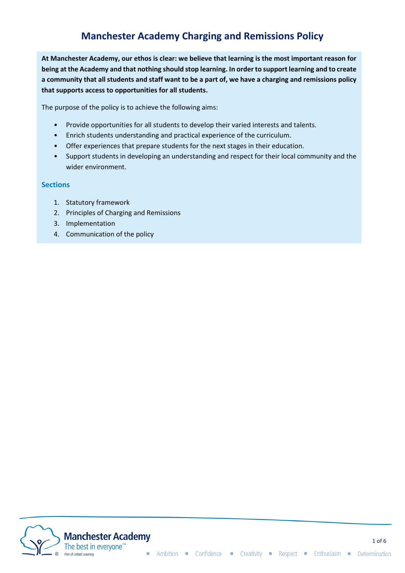# **Manchester Academy Charging and Remissions Policy**

**At Manchester Academy, our ethos is clear: we believe that learning is the most important reason for being at the Academy and that nothing should stop learning. In order to support learning and to create a community that all students and staff want to be a part of, we have a charging and remissions policy that supports access to opportunities for all students.** 

The purpose of the policy is to achieve the following aims:

- Provide opportunities for all students to develop their varied interests and talents.
- Enrich students understanding and practical experience of the curriculum.
- Offer experiences that prepare students for the next stages in their education.
- Support students in developing an understanding and respect for their local community and the wider environment.

#### **Sections**

- 1. Statutory framework
- 2. Principles of Charging and Remissions
- 3. Implementation
- 4. Communication of the policy

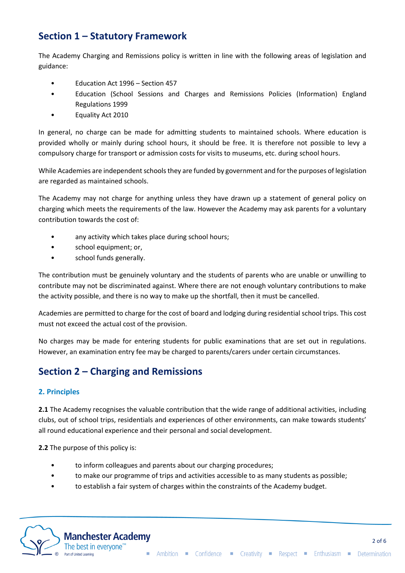# **Section 1 – Statutory Framework**

The Academy Charging and Remissions policy is written in line with the following areas of legislation and guidance:

- Education Act 1996 Section 457
- Education (School Sessions and Charges and Remissions Policies (Information) England Regulations 1999
- Equality Act 2010

In general, no charge can be made for admitting students to maintained schools. Where education is provided wholly or mainly during school hours, it should be free. It is therefore not possible to levy a compulsory charge for transport or admission costs for visits to museums, etc. during school hours.

While Academies are independent schools they are funded by government and for the purposes of legislation are regarded as maintained schools.

The Academy may not charge for anything unless they have drawn up a statement of general policy on charging which meets the requirements of the law. However the Academy may ask parents for a voluntary contribution towards the cost of:

- any activity which takes place during school hours;
- school equipment; or,
- school funds generally.

The contribution must be genuinely voluntary and the students of parents who are unable or unwilling to contribute may not be discriminated against. Where there are not enough voluntary contributions to make the activity possible, and there is no way to make up the shortfall, then it must be cancelled.

Academies are permitted to charge for the cost of board and lodging during residential school trips. This cost must not exceed the actual cost of the provision.

No charges may be made for entering students for public examinations that are set out in regulations. However, an examination entry fee may be charged to parents/carers under certain circumstances.

## **Section 2 – Charging and Remissions**

### **2. Principles**

**2.1** The Academy recognises the valuable contribution that the wide range of additional activities, including clubs, out of school trips, residentials and experiences of other environments, can make towards students' all round educational experience and their personal and social development.

**2.2** The purpose of this policy is:

- to inform colleagues and parents about our charging procedures;
- to make our programme of trips and activities accessible to as many students as possible;
- to establish a fair system of charges within the constraints of the Academy budget.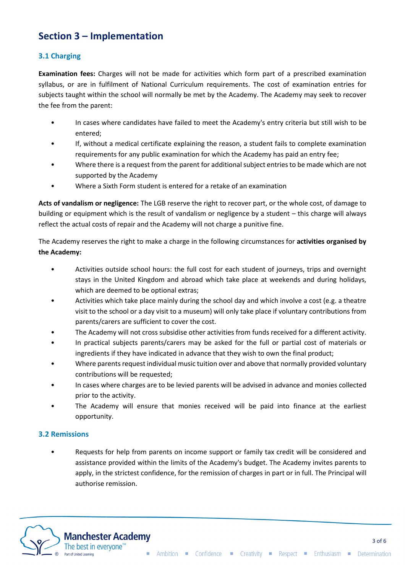# **Section 3 – Implementation**

### **3.1 Charging**

**Examination fees:** Charges will not be made for activities which form part of a prescribed examination syllabus, or are in fulfilment of National Curriculum requirements. The cost of examination entries for subjects taught within the school will normally be met by the Academy. The Academy may seek to recover the fee from the parent:

- In cases where candidates have failed to meet the Academy's entry criteria but still wish to be entered;
- If, without a medical certificate explaining the reason, a student fails to complete examination requirements for any public examination for which the Academy has paid an entry fee;
- Where there is a request from the parent for additional subject entries to be made which are not supported by the Academy
- Where a Sixth Form student is entered for a retake of an examination

**Acts of vandalism or negligence:** The LGB reserve the right to recover part, or the whole cost, of damage to building or equipment which is the result of vandalism or negligence by a student – this charge will always reflect the actual costs of repair and the Academy will not charge a punitive fine.

The Academy reserves the right to make a charge in the following circumstances for **activities organised by the Academy:** 

- Activities outside school hours: the full cost for each student of journeys, trips and overnight stays in the United Kingdom and abroad which take place at weekends and during holidays, which are deemed to be optional extras;
- Activities which take place mainly during the school day and which involve a cost (e.g. a theatre visit to the school or a day visit to a museum) will only take place if voluntary contributions from parents/carers are sufficient to cover the cost.
- The Academy will not cross subsidise other activities from funds received for a different activity.
- In practical subjects parents/carers may be asked for the full or partial cost of materials or ingredients if they have indicated in advance that they wish to own the final product;
- Where parents request individual music tuition over and above that normally provided voluntary contributions will be requested;
- In cases where charges are to be levied parents will be advised in advance and monies collected prior to the activity.
- The Academy will ensure that monies received will be paid into finance at the earliest opportunity.

### **3.2 Remissions**

• Requests for help from parents on income support or family tax credit will be considered and assistance provided within the limits of the Academy's budget. The Academy invites parents to apply, in the strictest confidence, for the remission of charges in part or in full. The Principal will authorise remission.

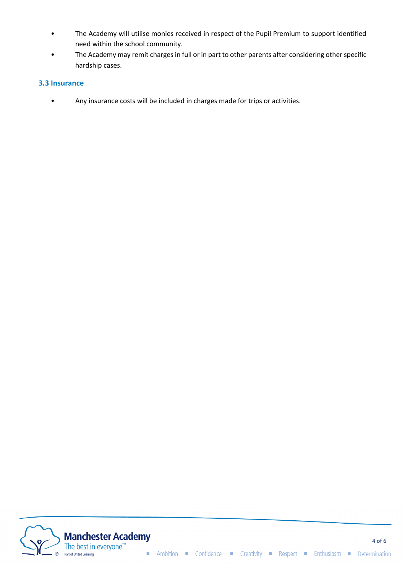- The Academy will utilise monies received in respect of the Pupil Premium to support identified need within the school community.
- The Academy may remit charges in full or in part to other parents after considering other specific hardship cases.

#### **3.3 Insurance**

• Any insurance costs will be included in charges made for trips or activities.